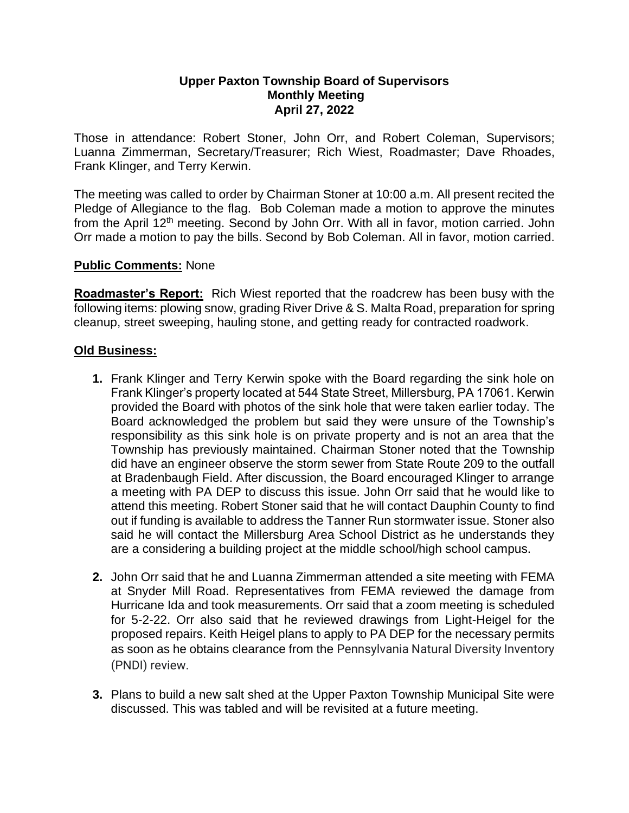### **Upper Paxton Township Board of Supervisors Monthly Meeting April 27, 2022**

Those in attendance: Robert Stoner, John Orr, and Robert Coleman, Supervisors; Luanna Zimmerman, Secretary/Treasurer; Rich Wiest, Roadmaster; Dave Rhoades, Frank Klinger, and Terry Kerwin.

The meeting was called to order by Chairman Stoner at 10:00 a.m. All present recited the Pledge of Allegiance to the flag. Bob Coleman made a motion to approve the minutes from the April 12<sup>th</sup> meeting. Second by John Orr. With all in favor, motion carried. John Orr made a motion to pay the bills. Second by Bob Coleman. All in favor, motion carried.

# **Public Comments:** None

**Roadmaster's Report:** Rich Wiest reported that the roadcrew has been busy with the following items: plowing snow, grading River Drive & S. Malta Road, preparation for spring cleanup, street sweeping, hauling stone, and getting ready for contracted roadwork.

## **Old Business:**

- **1.** Frank Klinger and Terry Kerwin spoke with the Board regarding the sink hole on Frank Klinger's property located at 544 State Street, Millersburg, PA 17061. Kerwin provided the Board with photos of the sink hole that were taken earlier today. The Board acknowledged the problem but said they were unsure of the Township's responsibility as this sink hole is on private property and is not an area that the Township has previously maintained. Chairman Stoner noted that the Township did have an engineer observe the storm sewer from State Route 209 to the outfall at Bradenbaugh Field. After discussion, the Board encouraged Klinger to arrange a meeting with PA DEP to discuss this issue. John Orr said that he would like to attend this meeting. Robert Stoner said that he will contact Dauphin County to find out if funding is available to address the Tanner Run stormwater issue. Stoner also said he will contact the Millersburg Area School District as he understands they are a considering a building project at the middle school/high school campus.
- **2.** John Orr said that he and Luanna Zimmerman attended a site meeting with FEMA at Snyder Mill Road. Representatives from FEMA reviewed the damage from Hurricane Ida and took measurements. Orr said that a zoom meeting is scheduled for 5-2-22. Orr also said that he reviewed drawings from Light-Heigel for the proposed repairs. Keith Heigel plans to apply to PA DEP for the necessary permits as soon as he obtains clearance from the Pennsylvania Natural Diversity Inventory (PNDI) review.
- **3.** Plans to build a new salt shed at the Upper Paxton Township Municipal Site were discussed. This was tabled and will be revisited at a future meeting.